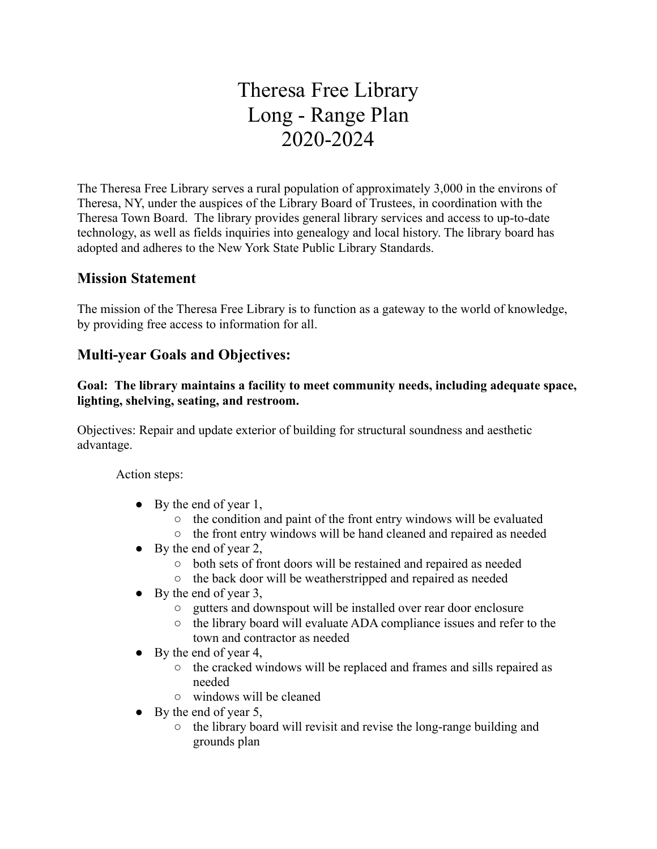# Theresa Free Library Long - Range Plan 2020-2024

The Theresa Free Library serves a rural population of approximately 3,000 in the environs of Theresa, NY, under the auspices of the Library Board of Trustees, in coordination with the Theresa Town Board. The library provides general library services and access to up-to-date technology, as well as fields inquiries into genealogy and local history. The library board has adopted and adheres to the New York State Public Library Standards.

## **Mission Statement**

The mission of the Theresa Free Library is to function as a gateway to the world of knowledge, by providing free access to information for all.

## **Multi-year Goals and Objectives:**

#### **Goal: The library maintains a facility to meet community needs, including adequate space, lighting, shelving, seating, and restroom.**

Objectives: Repair and update exterior of building for structural soundness and aesthetic advantage.

Action steps:

- $\bullet$  By the end of year 1,
	- the condition and paint of the front entry windows will be evaluated
	- the front entry windows will be hand cleaned and repaired as needed
- $\bullet$  By the end of year 2,
	- both sets of front doors will be restained and repaired as needed
	- the back door will be weatherstripped and repaired as needed
- $\bullet$  By the end of year 3,
	- gutters and downspout will be installed over rear door enclosure
	- the library board will evaluate ADA compliance issues and refer to the town and contractor as needed
- $\bullet$  By the end of year 4,
	- the cracked windows will be replaced and frames and sills repaired as needed
	- windows will be cleaned
- $\bullet$  By the end of year 5,
	- the library board will revisit and revise the long-range building and grounds plan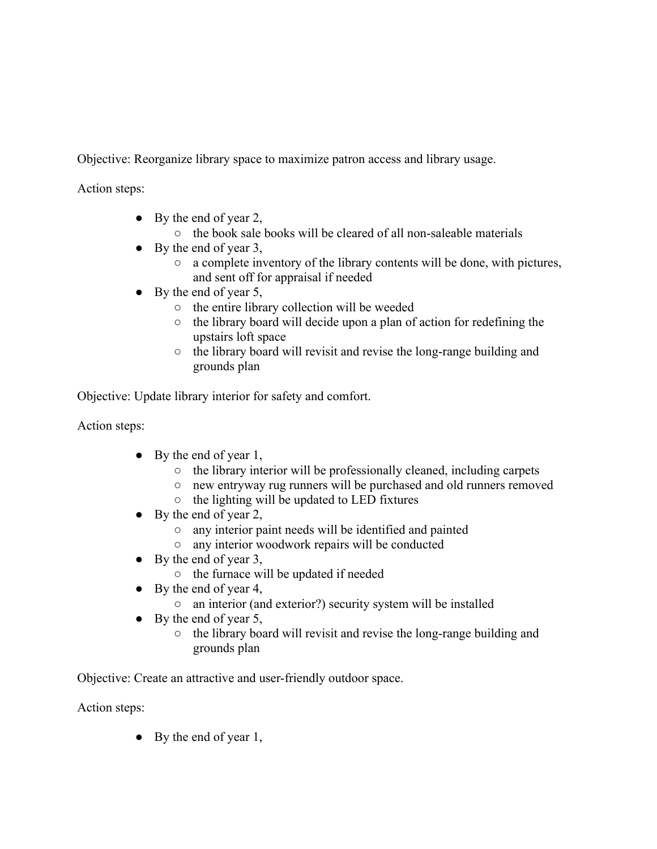Objective: Reorganize library space to maximize patron access and library usage.

Action steps:

- $\bullet$  By the end of year 2,
	- the book sale books will be cleared of all non-saleable materials
- $\bullet$  By the end of year 3,
	- a complete inventory of the library contents will be done, with pictures, and sent off for appraisal if needed
- $\bullet$  By the end of year 5,
	- the entire library collection will be weeded
	- the library board will decide upon a plan of action for redefining the upstairs loft space
	- the library board will revisit and revise the long-range building and grounds plan

Objective: Update library interior for safety and comfort.

Action steps:

- $\bullet$  By the end of year 1,
	- the library interior will be professionally cleaned, including carpets
	- new entryway rug runners will be purchased and old runners removed
	- the lighting will be updated to LED fixtures
- $\bullet$  By the end of year 2,
	- any interior paint needs will be identified and painted
	- any interior woodwork repairs will be conducted
- $\bullet$  By the end of year 3,
	- the furnace will be updated if needed
- $\bullet$  By the end of year 4,
	- an interior (and exterior?) security system will be installed
- $\bullet$  By the end of year 5,
	- the library board will revisit and revise the long-range building and grounds plan

Objective: Create an attractive and user-friendly outdoor space.

Action steps:

 $\bullet$  By the end of year 1,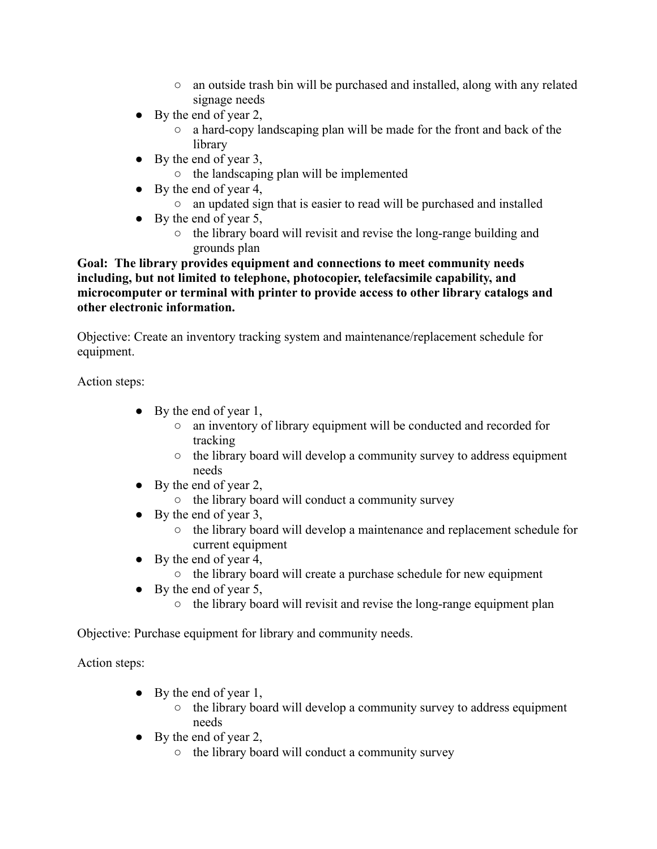- an outside trash bin will be purchased and installed, along with any related signage needs
- $\bullet$  By the end of year 2,
	- a hard-copy landscaping plan will be made for the front and back of the library
- $\bullet$  By the end of year 3,
	- the landscaping plan will be implemented
- $\bullet$  By the end of year 4,
	- an updated sign that is easier to read will be purchased and installed
- $\bullet$  By the end of year 5,
	- the library board will revisit and revise the long-range building and grounds plan

**Goal: The library provides equipment and connections to meet community needs including, but not limited to telephone, photocopier, telefacsimile capability, and microcomputer or terminal with printer to provide access to other library catalogs and other electronic information.**

Objective: Create an inventory tracking system and maintenance/replacement schedule for equipment.

Action steps:

- $\bullet$  By the end of year 1,
	- an inventory of library equipment will be conducted and recorded for tracking
	- the library board will develop a community survey to address equipment needs
- $\bullet$  By the end of year 2,
	- the library board will conduct a community survey
- $\bullet$  By the end of year 3,
	- the library board will develop a maintenance and replacement schedule for current equipment
- $\bullet$  By the end of year 4,
	- the library board will create a purchase schedule for new equipment
- $\bullet$  By the end of year 5,
	- the library board will revisit and revise the long-range equipment plan

Objective: Purchase equipment for library and community needs.

Action steps:

- $\bullet$  By the end of year 1,
	- the library board will develop a community survey to address equipment needs
- $\bullet$  By the end of year 2,
	- the library board will conduct a community survey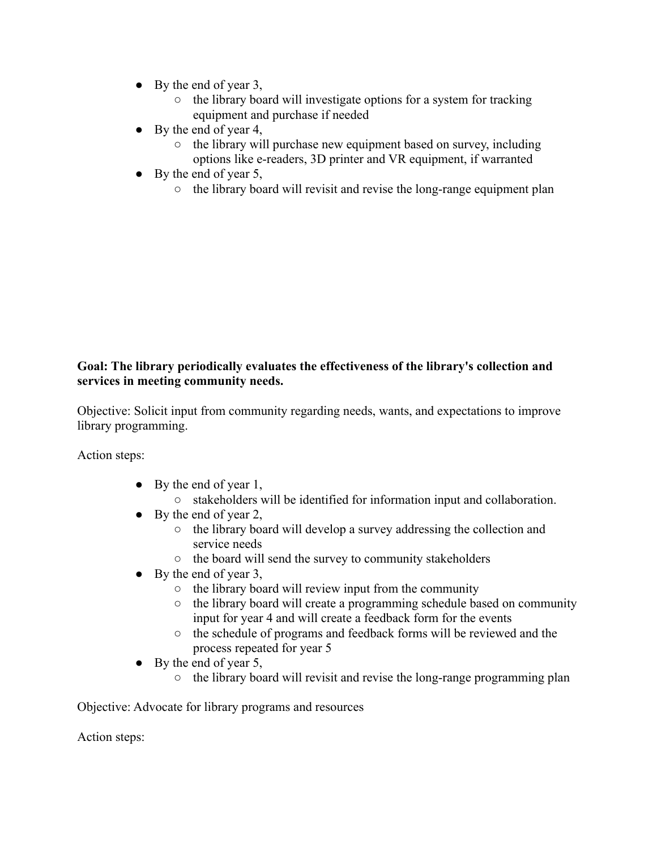- $\bullet$  By the end of year 3,
	- $\circ$  the library board will investigate options for a system for tracking equipment and purchase if needed
- $\bullet$  By the end of year 4,
	- the library will purchase new equipment based on survey, including options like e-readers, 3D printer and VR equipment, if warranted
- $\bullet$  By the end of year 5,
	- the library board will revisit and revise the long-range equipment plan

### **Goal: The library periodically evaluates the effectiveness of the library's collection and services in meeting community needs.**

Objective: Solicit input from community regarding needs, wants, and expectations to improve library programming.

Action steps:

- $\bullet$  By the end of year 1,
	- stakeholders will be identified for information input and collaboration.
- $\bullet$  By the end of year 2,
	- the library board will develop a survey addressing the collection and service needs
	- the board will send the survey to community stakeholders
- $\bullet$  By the end of year 3,
	- $\circ$  the library board will review input from the community
	- the library board will create a programming schedule based on community input for year 4 and will create a feedback form for the events
	- the schedule of programs and feedback forms will be reviewed and the process repeated for year 5
- $\bullet$  By the end of year 5,
	- the library board will revisit and revise the long-range programming plan

Objective: Advocate for library programs and resources

Action steps: